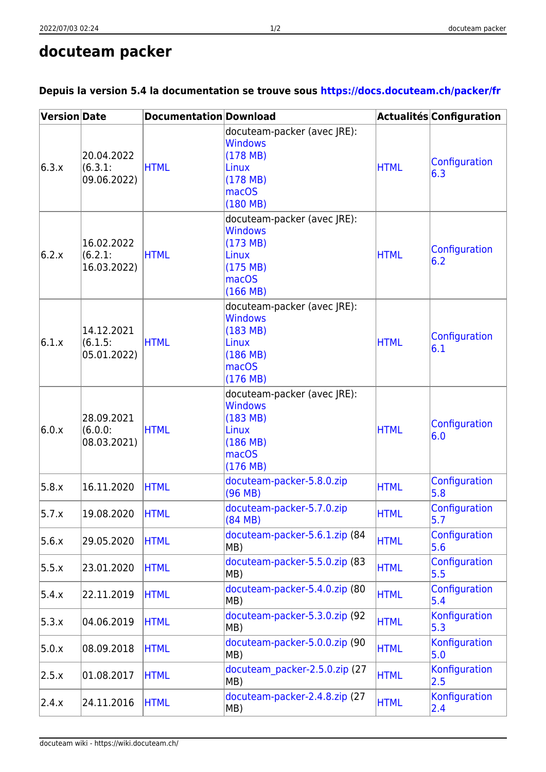## **docuteam packer**

| <b>Version Date</b> |                                      | <b>Documentation Download</b> |                                                                                                                        |             | Actualités Configuration |
|---------------------|--------------------------------------|-------------------------------|------------------------------------------------------------------------------------------------------------------------|-------------|--------------------------|
| 6.3.x               | 20.04.2022<br>(6.3.1)<br>09.06.2022) | <b>HTML</b>                   | docuteam-packer (avec JRE):<br><b>Windows</b><br>(178 MB)<br>Linux<br>(178 MB)<br><b>macOS</b><br>(180 MB)             | <b>HTML</b> | Configuration<br>6.3     |
| 6.2.x               | 16.02.2022<br>(6.2.1)<br>16.03.2022) | <b>HTML</b>                   | docuteam-packer (avec JRE):<br><b>Windows</b><br>(173 MB)<br>Linux<br>(175 MB)<br>mac <sub>OS</sub><br>(166 MB)        | <b>HTML</b> | Configuration<br>6.2     |
| 6.1.x               | 14.12.2021<br>(6.1.5)<br>05.01.2022) | <b>HTML</b>                   | docuteam-packer (avec JRE):<br><b>Windows</b><br>(183 MB)<br>Linux<br>(186 MB)<br>mac <sub>OS</sub><br>(176 MB)        | <b>HTML</b> | Configuration<br>6.1     |
| 6.0.x               | 28.09.2021<br>(6.0.0)<br>08.03.2021) | <b>HTML</b>                   | docuteam-packer (avec JRE):<br><b>Windows</b><br>(183 MB)<br><b>Linux</b><br>(186 MB)<br>mac <sub>OS</sub><br>(176 MB) | <b>HTML</b> | Configuration<br>6.0     |
| 5.8.x               | 16.11.2020                           | <b>HTML</b>                   | docuteam-packer-5.8.0.zip<br>(96 MB)                                                                                   | <b>HTML</b> | Configuration<br>5.8     |
| 5.7.x               | 19.08.2020                           | <b>HTML</b>                   | docuteam-packer-5.7.0.zip<br>(84 MB)                                                                                   | <b>HTML</b> | Configuration<br>5.7     |
| 5.6.x               | 29.05.2020                           | <b>HTML</b>                   | docuteam-packer-5.6.1.zip (84<br>MB)                                                                                   | <b>HTML</b> | Configuration<br>5.6     |
| 5.5.x               | 23.01.2020                           | <b>HTML</b>                   | docuteam-packer-5.5.0.zip (83<br>MB)                                                                                   | <b>HTML</b> | Configuration<br>5.5     |
| 5.4.x               | 22.11.2019                           | <b>HTML</b>                   | docuteam-packer-5.4.0.zip (80<br>MB)                                                                                   | <b>HTML</b> | Configuration<br>5.4     |
| 5.3.x               | 04.06.2019                           | <b>HTML</b>                   | docuteam-packer-5.3.0.zip (92<br>MB)                                                                                   | <b>HTML</b> | Konfiguration<br>5.3     |
| 5.0.x               | 08.09.2018                           | <b>HTML</b>                   | docuteam-packer-5.0.0.zip (90<br>MB)                                                                                   | <b>HTML</b> | Konfiguration<br>5.0     |
| 2.5.x               | 01.08.2017                           | <b>HTML</b>                   | docuteam packer-2.5.0.zip (27<br>MB)                                                                                   | <b>HTML</b> | Konfiguration<br>2.5     |
| 2.4.x               | 24.11.2016                           | <b>HTML</b>                   | docuteam-packer-2.4.8.zip (27<br>MB)                                                                                   | <b>HTML</b> | Konfiguration<br>2.4     |